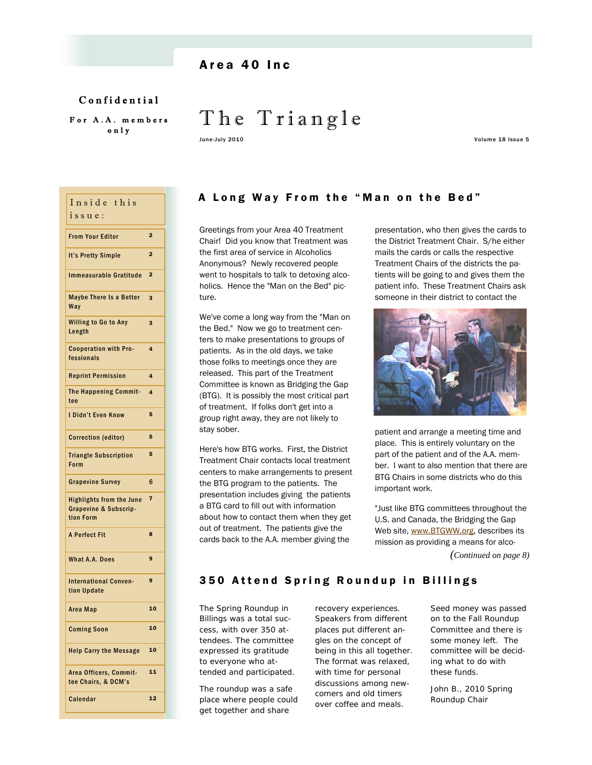# Area 40 Inc

Confidential For A.A. members only

# The Triangle

June-July 2010 Volume 18 Issue 5

| Inside this<br>issue:                                                            |                |
|----------------------------------------------------------------------------------|----------------|
| <b>From Your Editor</b>                                                          | $\overline{a}$ |
| <b>It's Pretty Simple</b>                                                        | $\overline{2}$ |
| <b>Immeasurable Gratitude</b>                                                    | $\overline{2}$ |
| <b>Maybe There Is a Better</b><br>Way                                            | 3              |
| <b>Willing to Go to Any</b><br>Length                                            | 3              |
| <b>Cooperation with Pro-</b><br>fessionals                                       | 4              |
| <b>Reprint Permission</b>                                                        | 4              |
| <b>The Happening Commit-</b><br>tee                                              | 4              |
| I Didn't Even Know                                                               | 5              |
| <b>Correction (editor)</b>                                                       | 5              |
| <b>Triangle Subscription</b><br>Form                                             | 5              |
| <b>Grapevine Survey</b>                                                          | 6              |
| <b>Highlights from the June</b><br><b>Grapevine &amp; Subscrip-</b><br>tion Form | $\overline{7}$ |
| <b>A Perfect Fit</b>                                                             | 8              |
| <b>What A.A. Does</b>                                                            | 9              |
| <b>International Conven-</b><br>tion Update                                      | 9              |
| Area Map                                                                         | 10             |
| <b>Coming Soon</b>                                                               | 10             |
| <b>Help Carry the Message</b>                                                    | 10             |
| Area Officers, Commit-<br>tee Chairs, & DCM's                                    | 11             |
| Calendar                                                                         | 12             |

# A Long Way From the "Man on the Bed"

Greetings from your Area 40 Treatment Chair! Did you know that Treatment was the first area of service in Alcoholics Anonymous? Newly recovered people went to hospitals to talk to detoxing alcoholics. Hence the "Man on the Bed" picture.

We've come a long way from the "Man on the Bed." Now we go to treatment centers to make presentations to groups of patients. As in the old days, we take those folks to meetings once they are released. This part of the Treatment Committee is known as Bridging the Gap (BTG). It is possibly the most critical part of treatment. If folks don't get into a group right away, they are not likely to stay sober.

Here's how BTG works. First, the District Treatment Chair contacts local treatment centers to make arrangements to present the BTG program to the patients. The presentation includes giving the patients a BTG card to fill out with information about how to contact them when they get out of treatment. The patients give the cards back to the A.A. member giving the

presentation, who then gives the cards to the District Treatment Chair. S/he either mails the cards or calls the respective Treatment Chairs of the districts the patients will be going to and gives them the patient info. These Treatment Chairs ask someone in their district to contact the



patient and arrange a meeting time and place. This is entirely voluntary on the part of the patient and of the A.A. member. I want to also mention that there are BTG Chairs in some districts who do this important work.

"Just like BTG committees throughout the U.S. and Canada, the Bridging the Gap Web site, www.BTGWW.org, describes its mission as providing a means for alco-

*(Continued on page 8)* 

# 350 Attend Spring Roundup in Billings

The Spring Roundup in Billings was a total success, with over 350 attendees. The committee expressed its gratitude to everyone who attended and participated.

The roundup was a safe place where people could get together and share

recovery experiences. Speakers from different places put different angles on the concept of being in this all together. The format was relaxed, with time for personal discussions among newcomers and old timers over coffee and meals.

Seed money was passed on to the Fall Roundup Committee and there is some money left. The committee will be deciding what to do with these funds.

John B., 2010 Spring Roundup Chair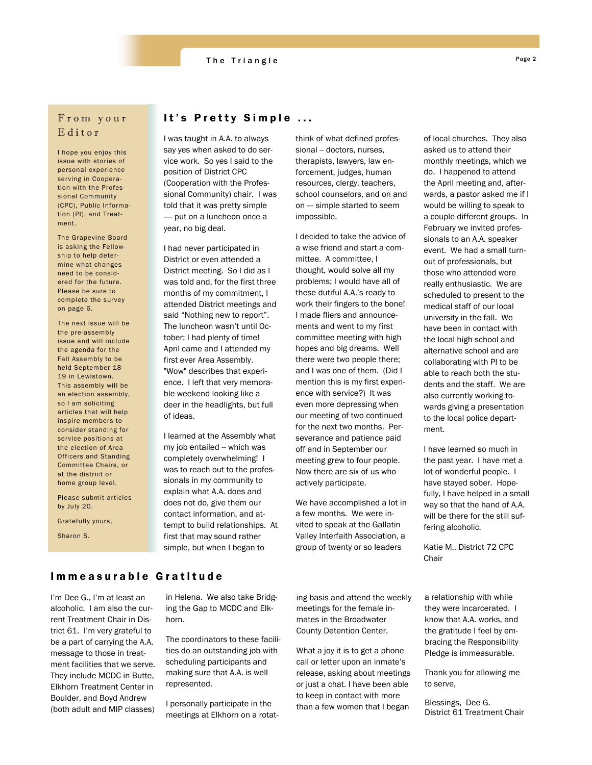# The Triangle Page 2

# From your Editor

I hope you enjoy this issue with stories of personal experience serving in Cooperation with the Professional Community (CPC), Public Information (PI), and Treatment.

The Grapevine Board is asking the Fellowship to help determine what changes need to be considered for the future. Please be sure to complete the survey on page 6.

The next issue will be the pre-assembly issue and will include the agenda for the Fall Assembly to be held September 18- 19 in Lewistown. This assembly will be an election assembly, so I am soliciting articles that will help inspire members to consider standing for service positions at the election of Area Officers and Standing Committee Chairs, or at the district or home group level.

Please submit articles by July 20.

Gratefully yours,

Sharon S.

# It's Pretty Simple ...

I was taught in A.A. to always say yes when asked to do service work. So yes I said to the position of District CPC (Cooperation with the Professional Community) chair. I was told that it was pretty simple — put on a luncheon once a year, no big deal.

I had never participated in District or even attended a District meeting. So I did as I was told and, for the first three months of my commitment, I attended District meetings and said "Nothing new to report". The luncheon wasn't until October; I had plenty of time! April came and I attended my first ever Area Assembly. "Wow" describes that experience. I left that very memorable weekend looking like a deer in the headlights, but full of ideas.

I learned at the Assembly what my job entailed -- which was completely overwhelming! I was to reach out to the professionals in my community to explain what A.A. does and does not do, give them our contact information, and attempt to build relationships. At first that may sound rather simple, but when I began to

think of what defined professional -- doctors, nurses, therapists, lawyers, law enforcement, judges, human resources, clergy, teachers, school counselors, and on and on --- simple started to seem impossible.

I decided to take the advice of a wise friend and start a committee. A committee, I thought, would solve all my problems; I would have all of these dutiful A.A.'s ready to work their fingers to the bone! I made fliers and announcements and went to my first committee meeting with high hopes and big dreams. Well there were two people there; and I was one of them. (Did I mention this is my first experience with service?) It was even more depressing when our meeting of two continued for the next two months. Perseverance and patience paid off and in September our meeting grew to four people. Now there are six of us who actively participate.

We have accomplished a lot in a few months. We were invited to speak at the Gallatin Valley Interfaith Association, a group of twenty or so leaders

of local churches. They also asked us to attend their monthly meetings, which we do. I happened to attend the April meeting and, afterwards, a pastor asked me if I would be willing to speak to a couple different groups. In February we invited professionals to an A.A. speaker event. We had a small turnout of professionals, but those who attended were really enthusiastic. We are scheduled to present to the medical staff of our local university in the fall. We have been in contact with the local high school and alternative school and are collaborating with PI to be able to reach both the students and the staff. We are also currently working towards giving a presentation to the local police department.

I have learned so much in the past year. I have met a lot of wonderful people. I have stayed sober. Hopefully, I have helped in a small way so that the hand of A.A. will be there for the still suffering alcoholic.

Katie M., District 72 CPC **Chair** 

# Immeasurable Gratitude

I'm Dee G., I'm at least an alcoholic. I am also the current Treatment Chair in District 61. I'm very grateful to be a part of carrying the A.A. message to those in treatment facilities that we serve. They include MCDC in Butte, Elkhorn Treatment Center in Boulder, and Boyd Andrew (both adult and MIP classes)

in Helena. We also take Bridging the Gap to MCDC and Elkhorn.

The coordinators to these facilities do an outstanding job with scheduling participants and making sure that A.A. is well represented.

I personally participate in the meetings at Elkhorn on a rotating basis and attend the weekly meetings for the female inmates in the Broadwater County Detention Center.

What a joy it is to get a phone call or letter upon an inmate's release, asking about meetings or just a chat. I have been able to keep in contact with more than a few women that I began

a relationship with while they were incarcerated. I know that A.A. works, and the gratitude I feel by embracing the Responsibility Pledge is immeasurable.

Thank you for allowing me to serve,

Blessings, Dee G. District 61 Treatment Chair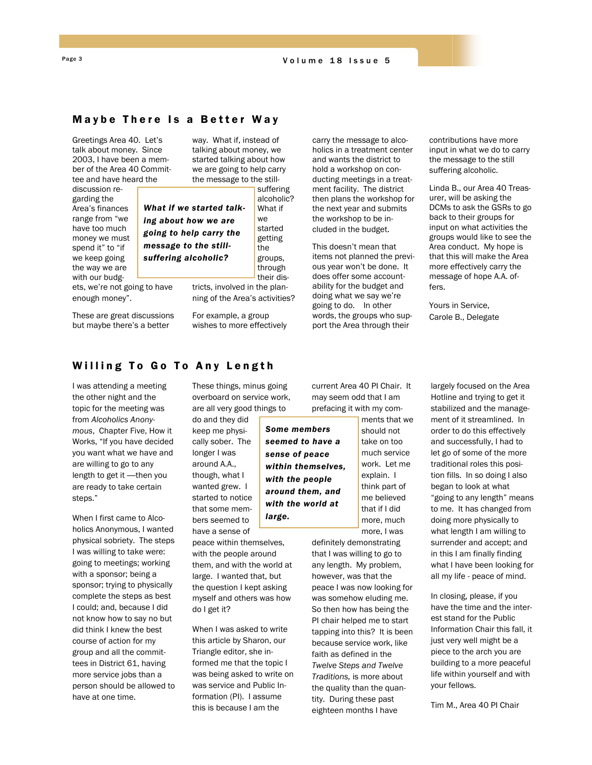### Maybe There Is a Better Way

Greetings Area 40. Let's talk about money. Since 2003, I have been a member of the Area 40 Committee and have heard the

discussion regarding the Area's finances range from "we have too much money we must spend it" to "if we keep going the way we are with our budg-

ets, we're not going to have enough money".

These are great discussions but maybe there's a better

way. What if, instead of talking about money, we started talking about how we are going to help carry the message to the still-

*What if we started talking about how we are going to help carry the message to the stillsuffering alcoholic?* 

What if we started getting the groups, through

suffering

tricts, involved in the planning of the Area's activities?

For example, a group wishes to more effectively carry the message to alcoholics in a treatment center and wants the district to hold a workshop on conducting meetings in a treatment facility. The district then plans the workshop for the next year and submits the workshop to be included in the budget.

This doesn't mean that items not planned the previous year won't be done. It does offer some accountability for the budget and doing what we say we're going to do. In other words, the groups who support the Area through their

contributions have more input in what we do to carry the message to the still suffering alcoholic.

Linda B., our Area 40 Treasurer, will be asking the DCMs to ask the GSRs to go back to their groups for input on what activities the groups would like to see the Area conduct. My hope is that this will make the Area more effectively carry the message of hope A.A. offers.

Yours in Service, Carole B., Delegate

# Willing To Go To Any Length

I was attending a meeting the other night and the topic for the meeting was from *Alcoholics Anonymous*, Chapter Five, How it Works, "If you have decided you want what we have and are willing to go to any length to get it —then you are ready to take certain steps."

When I first came to Alcoholics Anonymous, I wanted physical sobriety. The steps I was willing to take were: going to meetings; working with a sponsor; being a sponsor; trying to physically complete the steps as best I could; and, because I did not know how to say no but did think I knew the best course of action for my group and all the committees in District 61, having more service jobs than a person should be allowed to have at one time.

These things, minus going overboard on service work, are all very good things to

> *Some members seemed to have a sense of peace within themselves, with the people around them, and with the world at*

*large.* 

do and they did keep me physically sober. The longer I was around A.A., though, what I wanted grew. I started to notice that some members seemed to have a sense of

peace within themselves, with the people around them, and with the world at large. I wanted that, but the question I kept asking myself and others was how do I get it?

When I was asked to write this article by Sharon, our Triangle editor, she informed me that the topic I was being asked to write on was service and Public Information (PI). I assume this is because I am the

current Area 40 PI Chair. It may seem odd that I am prefacing it with my com-

> ments that we should not take on too much service work. Let me explain. I think part of me believed that if I did more, much more, I was

definitely demonstrating that I was willing to go to any length. My problem, however, was that the peace I was now looking for was somehow eluding me. So then how has being the PI chair helped me to start tapping into this? It is been because service work, like faith as defined in the *Twelve Steps and Twelve Traditions,* is more about the quality than the quantity. During these past eighteen months I have

largely focused on the Area Hotline and trying to get it stabilized and the management of it streamlined. In order to do this effectively and successfully, I had to let go of some of the more traditional roles this position fills. In so doing I also began to look at what "going to any length" means to me. It has changed from doing more physically to what length I am willing to surrender and accept; and in this I am finally finding what I have been looking for all my life - peace of mind.

In closing, please, if you have the time and the interest stand for the Public Information Chair this fall, it just very well might be a piece to the arch you are building to a more peaceful life within yourself and with your fellows.

Tim M., Area 40 PI Chair

alcoholic? their dis-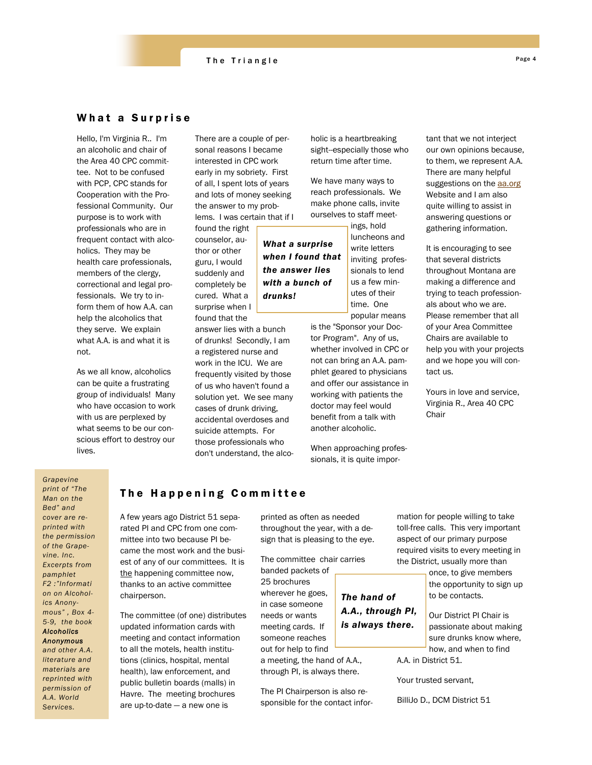### What a Surprise

Hello, I'm Virginia R.. I'm an alcoholic and chair of the Area 40 CPC committee. Not to be confused with PCP, CPC stands for Cooperation with the Professional Community. Our purpose is to work with professionals who are in frequent contact with alcoholics. They may be health care professionals, members of the clergy, correctional and legal professionals. We try to inform them of how A.A. can help the alcoholics that they serve. We explain what A.A. is and what it is not.

As we all know, alcoholics can be quite a frustrating group of individuals! Many who have occasion to work with us are perplexed by what seems to be our conscious effort to destroy our lives.

There are a couple of personal reasons I became interested in CPC work early in my sobriety. First of all, I spent lots of years and lots of money seeking the answer to my problems. I was certain that if I

*What a surprise* 

*the answer lies with a bunch of* 

*drunks!* 

found the right counselor, author or other guru, I would suddenly and completely be cured. What a surprise when I found that the

answer lies with a bunch of drunks! Secondly, I am a registered nurse and work in the ICU. We are frequently visited by those of us who haven't found a solution yet. We see many cases of drunk driving, accidental overdoses and suicide attempts. For those professionals who don't understand, the alcoholic is a heartbreaking sight--especially those who return time after time.

We have many ways to reach professionals. We make phone calls, invite ourselves to staff meet-

ings, hold luncheons and write letters inviting professionals to lend us a few minutes of their time. One popular means *when I found that* 

> is the "Sponsor your Doctor Program". Any of us, whether involved in CPC or not can bring an A.A. pamphlet geared to physicians and offer our assistance in working with patients the doctor may feel would benefit from a talk with another alcoholic.

When approaching professionals, it is quite important that we not interject our own opinions because, to them, we represent A.A. There are many helpful suggestions on the aa.org Website and I am also quite willing to assist in answering questions or gathering information.

It is encouraging to see that several districts throughout Montana are making a difference and trying to teach professionals about who we are. Please remember that all of your Area Committee Chairs are available to help you with your projects and we hope you will contact us.

Yours in love and service, Virginia R., Area 40 CPC **Chair** 

*Grapevine print of "The Man on the Bed" and cover are reprinted with the permission of the Grapevine. Inc. Excerpts from pamphlet F2 :"Informati on on Alcoholics Anonymous" , Box 4- 5-9, the book Alcoholics Anonymous and other A.A. literature and materials are reprinted with permission of* 

*A.A. World Services.*

# The Happening Committee

A few years ago District 51 separated PI and CPC from one committee into two because PI became the most work and the busiest of any of our committees. It is the happening committee now, thanks to an active committee chairperson.

The committee (of one) distributes updated information cards with meeting and contact information to all the motels, health institutions (clinics, hospital, mental health), law enforcement, and public bulletin boards (malls) in Havre. The meeting brochures are up-to-date — a new one is

printed as often as needed throughout the year, with a design that is pleasing to the eye.

The committee chair carries banded packets of 25 brochures wherever he goes, in case someone needs or wants meeting cards. If someone reaches out for help to find *The hand of A.A., through PI, is always there.* 

a meeting, the hand of A.A., through PI, is always there.

The PI Chairperson is also responsible for the contact information for people willing to take toll-free calls. This very important aspect of our primary purpose required visits to every meeting in the District, usually more than

> once, to give members the opportunity to sign up to be contacts.

Our District PI Chair is passionate about making sure drunks know where, how, and when to find

A.A. in District 51.

Your trusted servant,

BilliJo D., DCM District 51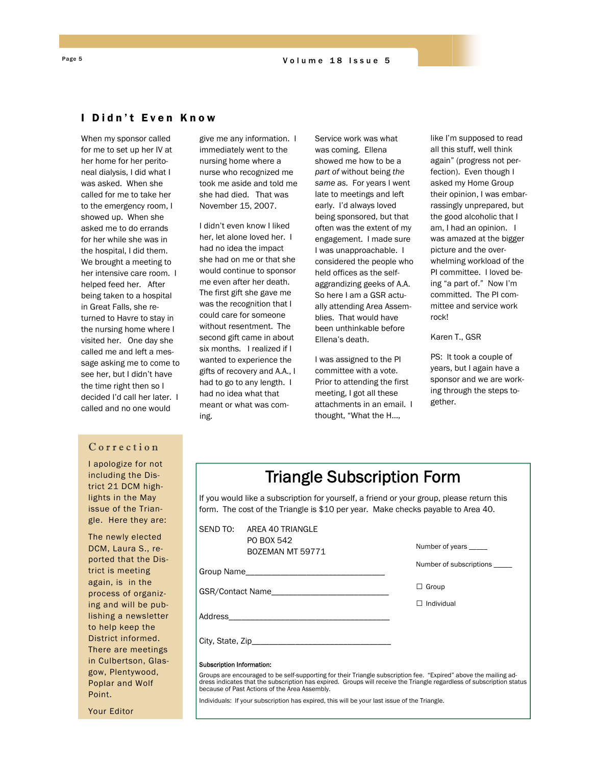### I Didn't Even Know

When my sponsor called for me to set up her IV at her home for her peritoneal dialysis, I did what I was asked. When she called for me to take her to the emergency room, I showed up. When she asked me to do errands for her while she was in the hospital, I did them. We brought a meeting to her intensive care room. I helped feed her. After being taken to a hospital in Great Falls, she returned to Havre to stay in the nursing home where I visited her. One day she called me and left a message asking me to come to see her, but I didn't have the time right then so I decided I'd call her later. I called and no one would

### Correction

trict 21 DCM high-I apologize for not including the Dislights in the May issue of the Triangle. Here they are:

The newly elected DCM, Laura S., reported that the District is meeting again, is in the process of organizing and will be publishing a newsletter to help keep the District informed. There are meetings in Culbertson, Glasgow, Plentywood, Poplar and Wolf Point.

give me any information. I immediately went to the nursing home where a nurse who recognized me took me aside and told me she had died. That was November 15, 2007.

I didn't even know I liked her, let alone loved her. I had no idea the impact she had on me or that she would continue to sponsor me even after her death. The first gift she gave me was the recognition that I could care for someone without resentment. The second gift came in about six months. I realized if I wanted to experience the gifts of recovery and A.A., I had to go to any length. I had no idea what that meant or what was coming.

Service work was what was coming. Ellena showed me how to be a *part of* without being *the same as.* For years I went late to meetings and left early. I'd always loved being sponsored, but that often was the extent of my engagement. I made sure I was unapproachable. I considered the people who held offices as the selfaggrandizing geeks of A.A. So here I am a GSR actually attending Area Assemblies. That would have been unthinkable before Ellena's death.

I was assigned to the PI committee with a vote. Prior to attending the first meeting, I got all these attachments in an email. I thought, "What the H…,

like I'm supposed to read all this stuff, well think again" (progress not perfection). Even though I asked my Home Group their opinion, I was embarrassingly unprepared, but the good alcoholic that I am, I had an opinion. I was amazed at the bigger picture and the overwhelming workload of the PI committee. I loved being "a part of." Now I'm committed. The PI committee and service work rock!

Karen T., GSR

PS: It took a couple of years, but I again have a sponsor and we are working through the steps together.

| <b>Triangle Subscription Form</b> |  |
|-----------------------------------|--|
|-----------------------------------|--|

If you would like a subscription for yourself, a friend or your group, please return this form. The cost of the Triangle is \$10 per year. Make checks payable to Area 40.

|                                  | SEND TO: AREA 40 TRIANGLE                                                                                                                                                                                                                                                                 |                         |
|----------------------------------|-------------------------------------------------------------------------------------------------------------------------------------------------------------------------------------------------------------------------------------------------------------------------------------------|-------------------------|
|                                  | PO BOX 542<br>BOZEMAN MT 59771                                                                                                                                                                                                                                                            | Number of years _____   |
|                                  |                                                                                                                                                                                                                                                                                           | Number of subscriptions |
|                                  |                                                                                                                                                                                                                                                                                           | $\Box$ Group            |
|                                  |                                                                                                                                                                                                                                                                                           | $\Box$ Individual       |
|                                  |                                                                                                                                                                                                                                                                                           |                         |
|                                  |                                                                                                                                                                                                                                                                                           |                         |
| <b>Subscription Information:</b> |                                                                                                                                                                                                                                                                                           |                         |
|                                  | Groups are encouraged to be self-supporting for their Triangle subscription fee. "Expired" above the mailing ad-<br>dress indicates that the subscription has expired. Groups will receive the Triangle regardless of subscription status<br>because of Past Actions of the Area Assembly |                         |

Individuals: If your subscription has expired, this will be your last issue of the Triangle.

Your Editor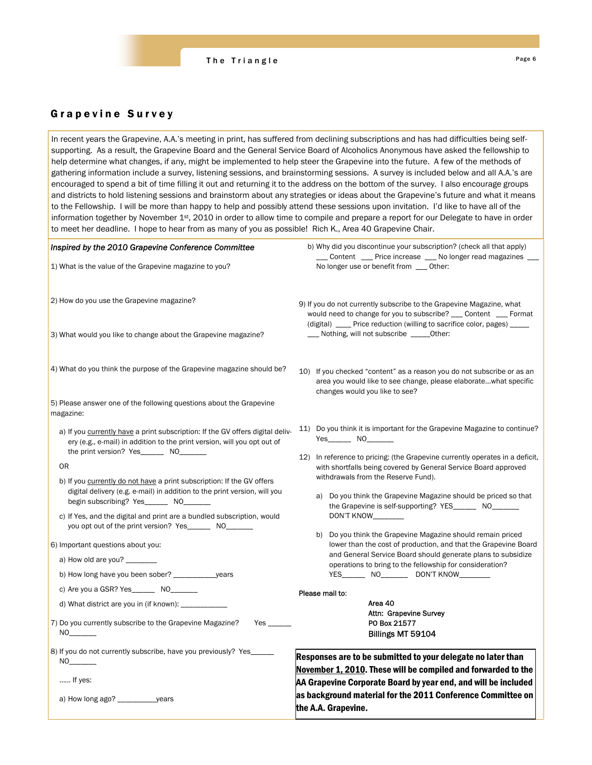

# Grapevine Survey

In recent years the Grapevine, A.A.'s meeting in print, has suffered from declining subscriptions and has had difficulties being selfsupporting. As a result, the Grapevine Board and the General Service Board of Alcoholics Anonymous have asked the fellowship to help determine what changes, if any, might be implemented to help steer the Grapevine into the future. A few of the methods of gathering information include a survey, listening sessions, and brainstorming sessions. A survey is included below and all A.A.'s are encouraged to spend a bit of time filling it out and returning it to the address on the bottom of the survey. I also encourage groups and districts to hold listening sessions and brainstorm about any strategies or ideas about the Grapevine's future and what it means to the Fellowship. I will be more than happy to help and possibly attend these sessions upon invitation. I'd like to have all of the information together by November 1<sup>st</sup>, 2010 in order to allow time to compile and prepare a report for our Delegate to have in order to meet her deadline. I hope to hear from as many of you as possible! Rich K., Area 40 Grapevine Chair.

| Inspired by the 2010 Grapevine Conference Committee                                                                                                                                                                                                                                                                                 | b) Why did you discontinue your subscription? (check all that apply)<br>__ Content __ Price increase __ No longer read magazines                                                                                    |  |  |
|-------------------------------------------------------------------------------------------------------------------------------------------------------------------------------------------------------------------------------------------------------------------------------------------------------------------------------------|---------------------------------------------------------------------------------------------------------------------------------------------------------------------------------------------------------------------|--|--|
| 1) What is the value of the Grapevine magazine to you?                                                                                                                                                                                                                                                                              | No longer use or benefit from __ Other:                                                                                                                                                                             |  |  |
| 2) How do you use the Grapevine magazine?                                                                                                                                                                                                                                                                                           | 9) If you do not currently subscribe to the Grapevine Magazine, what<br>would need to change for you to subscribe? __ Content __ Format<br>(digital) ____ Price reduction (willing to sacrifice color, pages) _____ |  |  |
| 3) What would you like to change about the Grapevine magazine?                                                                                                                                                                                                                                                                      | ___ Nothing, will not subscribe _____Other:                                                                                                                                                                         |  |  |
| 4) What do you think the purpose of the Grapevine magazine should be?                                                                                                                                                                                                                                                               | 10) If you checked "content" as a reason you do not subscribe or as an<br>area you would like to see change, please elaboratewhat specific<br>changes would you like to see?                                        |  |  |
| 5) Please answer one of the following questions about the Grapevine<br>magazine:                                                                                                                                                                                                                                                    |                                                                                                                                                                                                                     |  |  |
| a) If you currently have a print subscription: If the GV offers digital deliv-<br>ery (e.g., e-mail) in addition to the print version, will you opt out of<br>the print version? Yes_________ NO________                                                                                                                            | 11) Do you think it is important for the Grapevine Magazine to continue?<br>$Yes$ NO $\qquad$                                                                                                                       |  |  |
| 0R                                                                                                                                                                                                                                                                                                                                  | 12) In reference to pricing: (the Grapevine currently operates in a deficit,<br>with shortfalls being covered by General Service Board approved                                                                     |  |  |
| b) If you currently do not have a print subscription: If the GV offers<br>digital delivery (e.g. e-mail) in addition to the print version, will you<br>begin subscribing? Yes_______ NO_______<br>c) If Yes, and the digital and print are a bundled subscription, would<br>you opt out of the print version? Yes________ NO_______ | withdrawals from the Reserve Fund).<br>a) Do you think the Grapevine Magazine should be priced so that<br>the Grapevine is self-supporting? YES________ NO________<br>DON'T KNOW                                    |  |  |
| 6) Important questions about you:                                                                                                                                                                                                                                                                                                   | b) Do you think the Grapevine Magazine should remain priced<br>lower than the cost of production, and that the Grapevine Board                                                                                      |  |  |
| a) How old are you?                                                                                                                                                                                                                                                                                                                 | and General Service Board should generate plans to subsidize<br>operations to bring to the fellowship for consideration?                                                                                            |  |  |
| b) How long have you been sober? _________________years                                                                                                                                                                                                                                                                             | YES___________ NO_____________ DON'T KNOW___________                                                                                                                                                                |  |  |
| c) Are you a GSR? Yes _________ NO_________                                                                                                                                                                                                                                                                                         | Please mail to:                                                                                                                                                                                                     |  |  |
| d) What district are you in (if known): _________                                                                                                                                                                                                                                                                                   | Area 40<br>Attn: Grapevine Survey                                                                                                                                                                                   |  |  |
| 7) Do you currently subscribe to the Grapevine Magazine?<br>NO                                                                                                                                                                                                                                                                      | PO Box 21577<br>Billings MT 59104                                                                                                                                                                                   |  |  |
| 8) If you do not currently subscribe, have you previously? Yes_<br>NO <sub>th</sub>                                                                                                                                                                                                                                                 | Responses are to be submitted to your delegate no later than<br>November 1, 2010. These will be compiled and forwarded to the                                                                                       |  |  |
| If yes:                                                                                                                                                                                                                                                                                                                             | AA Grapevine Corporate Board by year end, and will be included                                                                                                                                                      |  |  |
| a) How long ago? ______________years                                                                                                                                                                                                                                                                                                | as background material for the 2011 Conference Committee on<br>the A.A. Grapevine.                                                                                                                                  |  |  |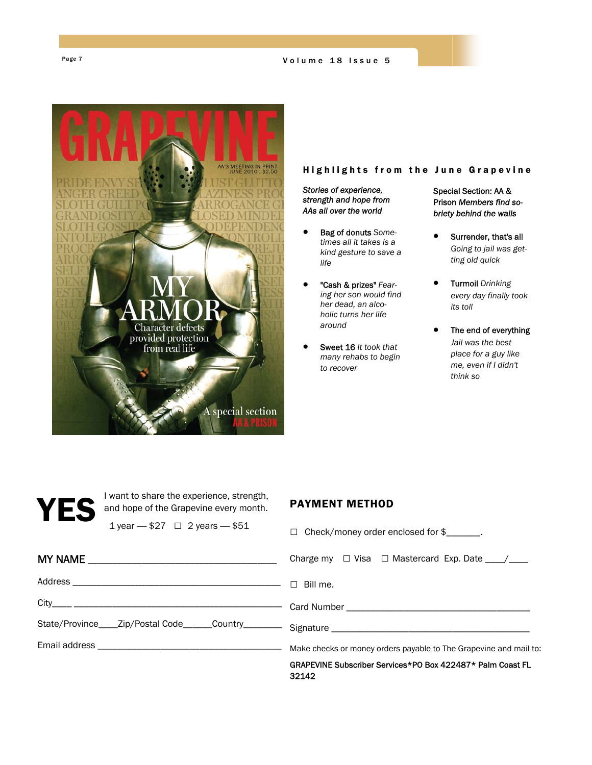Page 7 Volume 18 Issue 5



## Highlights from the June Grapevine

*Stories of experience, strength and hope from AAs all over the world*

- Bag of donuts *Sometimes all it takes is a kind gesture to save a life*
- "Cash & prizes" *Fearing her son would find her dead, an alcoholic turns her life around*
- Sweet 16 *It took that many rehabs to begin to recover*

### Special Section: AA & Prison *Members find sobriety behind the walls*

- Surrender, that's all *Going to jail was getting old quick*
- Turmoil *Drinking every day finally took its toll*
- The end of everything *Jail was the best place for a guy like me, even if I didn't think so*

VES I want to share the experience, strength,<br>and hope of the Grapevine every month.<br>1 year - \$27  $\Box$  2 years - \$51 and hope of the Grapevine every month.

### 1 year — \$27 □ 2 years — \$51

# PAYMENT METHOD

| $\frac{1}{2}$ year $\frac{1}{2}$ $\frac{1}{2}$ $\frac{1}{2}$ $\frac{1}{2}$ $\frac{1}{2}$ $\frac{1}{2}$ $\frac{1}{2}$ $\frac{1}{2}$ $\frac{1}{2}$ $\frac{1}{2}$ $\frac{1}{2}$ $\frac{1}{2}$ $\frac{1}{2}$ $\frac{1}{2}$ $\frac{1}{2}$ $\frac{1}{2}$ $\frac{1}{2}$ $\frac{1}{2}$ $\frac{1}{2}$ $\frac{1}{2}$ $\frac{1}{$ | $\Box$ Check/money order enclosed for $\frac{2}{2}$ .               |  |
|------------------------------------------------------------------------------------------------------------------------------------------------------------------------------------------------------------------------------------------------------------------------------------------------------------------------|---------------------------------------------------------------------|--|
|                                                                                                                                                                                                                                                                                                                        | Charge my $\Box$ Visa $\Box$ Mastercard Exp. Date ____/___          |  |
|                                                                                                                                                                                                                                                                                                                        |                                                                     |  |
|                                                                                                                                                                                                                                                                                                                        |                                                                     |  |
|                                                                                                                                                                                                                                                                                                                        |                                                                     |  |
|                                                                                                                                                                                                                                                                                                                        |                                                                     |  |
|                                                                                                                                                                                                                                                                                                                        | GRAPEVINE Subscriber Services*PO Box 422487* Palm Coast FL<br>32142 |  |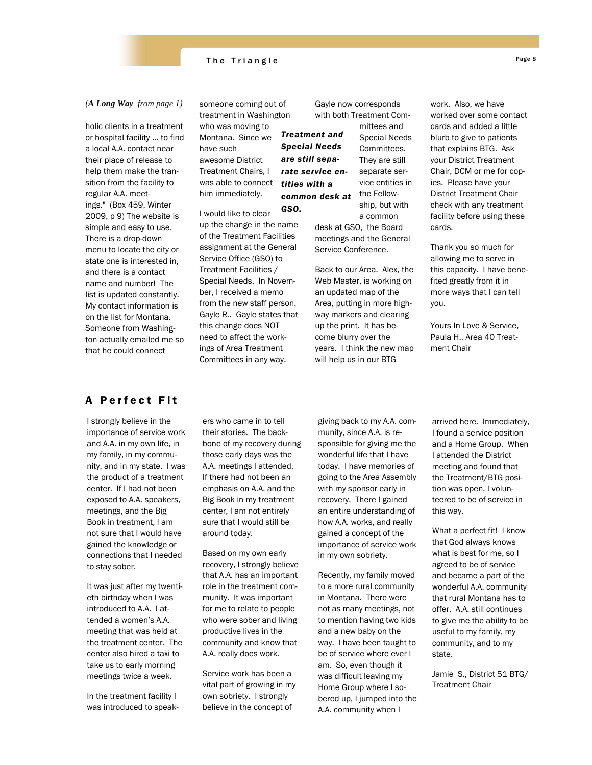

#### *(A Long Way from page 1)*

holic clients in a treatment or hospital facility … to find a local A.A. contact near their place of release to help them make the transition from the facility to regular A.A. meetings." (Box 459, Winter 2009, p 9) The website is simple and easy to use. There is a drop-down menu to locate the city or state one is interested in, and there is a contact name and number! The list is updated constantly. My contact information is on the list for Montana. Someone from Washington actually emailed me so that he could connect

someone coming out of treatment in Washington who was moving to Montana. Since we have such awesome District Treatment Chairs, I was able to connect him immediately.

I would like to clear up the change in the name of the Treatment Facilities assignment at the General Service Office (GSO) to Treatment Facilities / Special Needs. In November, I received a memo from the new staff person, Gayle R.. Gayle states that this change does NOT need to affect the workings of Area Treatment Committees in any way. *GSO.*  Gayle now corresponds with both Treatment Com-

> mittees and Special Needs Committees. They are still separate service entities in the Fellowship, but with

*Treatment and Special Needs are still separate service entities with a common desk at* 

> a common desk at GSO, the Board meetings and the General Service Conference.

Back to our Area. Alex, the Web Master, is working on an updated map of the Area, putting in more highway markers and clearing up the print. It has become blurry over the years. I think the new map will help us in our BTG

work. Also, we have worked over some contact cards and added a little blurb to give to patients that explains BTG. Ask your District Treatment Chair, DCM or me for copies. Please have your District Treatment Chair check with any treatment facility before using these cards.

Thank you so much for allowing me to serve in this capacity. I have benefited greatly from it in more ways that I can tell you.

Yours In Love & Service, Paula H., Area 40 Treatment Chair

# A Perfect Fit

I strongly believe in the importance of service work and A.A. in my own life, in my family, in my community, and in my state. I was the product of a treatment center. If I had not been exposed to A.A. speakers, meetings, and the Big Book in treatment, I am not sure that I would have gained the knowledge or connections that I needed to stay sober.

It was just after my twentieth birthday when I was introduced to A.A. I attended a women's A.A. meeting that was held at the treatment center. The center also hired a taxi to take us to early morning meetings twice a week.

In the treatment facility I was introduced to speak-

ers who came in to tell their stories. The backbone of my recovery during those early days was the A.A. meetings I attended. If there had not been an emphasis on A.A. and the Big Book in my treatment center, I am not entirely sure that I would still be around today.

Based on my own early recovery, I strongly believe that A.A. has an important role in the treatment community. It was important for me to relate to people who were sober and living productive lives in the community and know that A.A. really does work.

Service work has been a vital part of growing in my own sobriety. I strongly believe in the concept of

giving back to my A.A. community, since A.A. is responsible for giving me the wonderful life that I have today. I have memories of going to the Area Assembly with my sponsor early in recovery. There I gained an entire understanding of how A.A. works, and really gained a concept of the importance of service work in my own sobriety.

Recently, my family moved to a more rural community in Montana. There were not as many meetings, not to mention having two kids and a new baby on the way. I have been taught to be of service where ever I am. So, even though it was difficult leaving my Home Group where I sobered up, I jumped into the A.A. community when I

arrived here. Immediately, I found a service position and a Home Group. When I attended the District meeting and found that the Treatment/BTG position was open, I volunteered to be of service in this way.

What a perfect fit! I know that God always knows what is best for me, so I agreed to be of service and became a part of the wonderful A.A. community that rural Montana has to offer. A.A. still continues to give me the ability to be useful to my family, my community, and to my state.

Jamie S., District 51 BTG/ Treatment Chair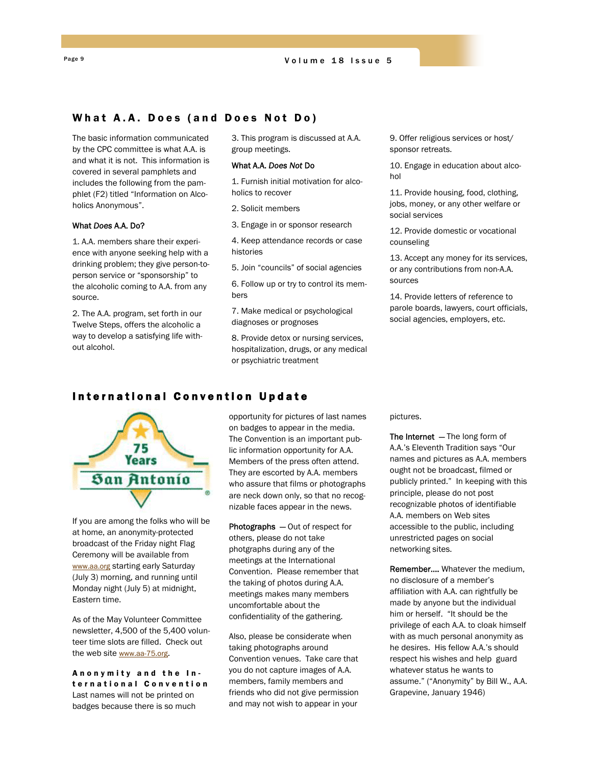# What A.A. Does (and Does Not Do)

The basic information communicated by the CPC committee is what A.A. is and what it is not. This information is covered in several pamphlets and includes the following from the pamphlet (F2) titled "Information on Alcoholics Anonymous".

### What *Does* A.A. Do?

1. A.A. members share their experience with anyone seeking help with a drinking problem; they give person-toperson service or "sponsorship" to the alcoholic coming to A.A. from any source.

2. The A.A. program, set forth in our Twelve Steps, offers the alcoholic a way to develop a satisfying life without alcohol.

3. This program is discussed at A.A. group meetings.

#### What A.A. *Does Not* Do

1. Furnish initial motivation for alcoholics to recover

2. Solicit members

3. Engage in or sponsor research

4. Keep attendance records or case histories

5. Join "councils" of social agencies

6. Follow up or try to control its members

7. Make medical or psychological diagnoses or prognoses

8. Provide detox or nursing services, hospitalization, drugs, or any medical or psychiatric treatment

9. Offer religious services or host/ sponsor retreats.

10. Engage in education about alcohol

11. Provide housing, food, clothing, jobs, money, or any other welfare or social services

12. Provide domestic or vocational counseling

13. Accept any money for its services, or any contributions from non-A.A. sources

14. Provide letters of reference to parole boards, lawyers, court officials, social agencies, employers, etc.

### International Convention Update



If you are among the folks who will be at home, an anonymity-protected broadcast of the Friday night Flag Ceremony will be available from www.aa.org starting early Saturday (July 3) morning, and running until Monday night (July 5) at midnight, Eastern time.

As of the May Volunteer Committee newsletter, 4,500 of the 5,400 volunteer time slots are filled. Check out the web site www.aa-75.org.

Anonymity and the International Convention Last names will not be printed on badges because there is so much

opportunity for pictures of last names on badges to appear in the media. The Convention is an important public information opportunity for A.A. Members of the press often attend. They are escorted by A.A. members who assure that films or photographs are neck down only, so that no recognizable faces appear in the news.

Photographs — Out of respect for others, please do not take photgraphs during any of the meetings at the International Convention. Please remember that the taking of photos during A.A. meetings makes many members uncomfortable about the confidentiality of the gathering.

Also, please be considerate when taking photographs around Convention venues. Take care that you do not capture images of A.A. members, family members and friends who did not give permission and may not wish to appear in your

pictures.

The Internet - The long form of A.A.'s Eleventh Tradition says "Our names and pictures as A.A. members ought not be broadcast, filmed or publicly printed." In keeping with this principle, please do not post recognizable photos of identifiable A.A. members on Web sites accessible to the public, including unrestricted pages on social networking sites.

Remember…. Whatever the medium, no disclosure of a member's affiliation with A.A. can rightfully be made by anyone but the individual him or herself. "It should be the privilege of each A.A. to cloak himself with as much personal anonymity as he desires. His fellow A.A.'s should respect his wishes and help guard whatever status he wants to assume." ("Anonymity" by Bill W., A.A. Grapevine, January 1946)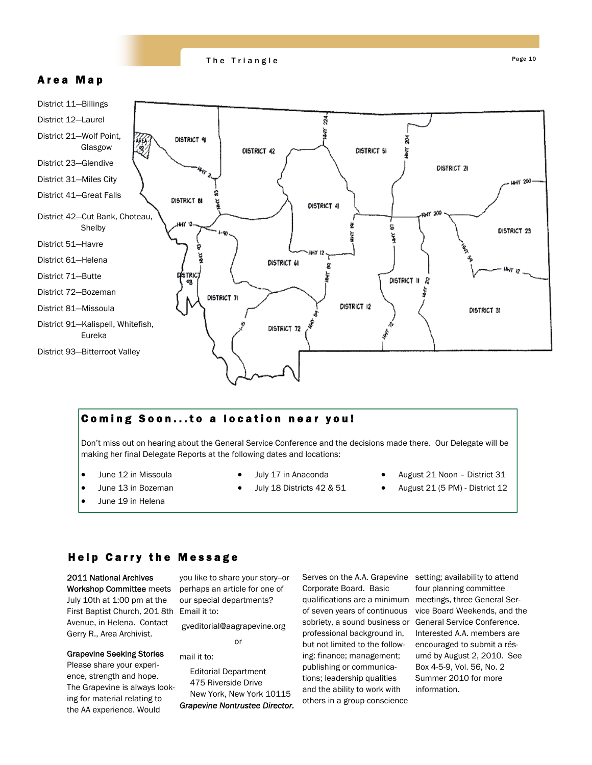

# Area Map



# Coming Soon...to a location near you!

Don't miss out on hearing about the General Service Conference and the decisions made there. Our Delegate will be making her final Delegate Reports at the following dates and locations:

- June 12 in Missoula
- June 13 in Bozeman
- June 19 in Helena
- July 17 in Anaconda
- July 18 Districts 42 & 51
- August 21 Noon District 31
- August 21 (5 PM) District 12

# Help Carry the Message

First Baptist Church, 201 8th Email it to: 2011 National Archives Workshop Committee meets July 10th at 1:00 pm at the Avenue, in Helena. Contact Gerry R., Area Archivist.

### Grapevine Seeking Stories

Please share your experience, strength and hope. The Grapevine is always looking for material relating to the AA experience. Would

you like to share your story--or perhaps an article for one of our special departments?

 gveditorial@aagrapevine.org or

mail it to:

Editorial Department 475 Riverside Drive New York, New York 10115 *Grapevine Nontrustee Director.*  Serves on the A.A. Grapevine Corporate Board. Basic qualifications are a minimum meetings, three General Serof seven years of continuous sobriety, a sound business or General Service Conference. professional background in, but not limited to the following: finance; management; publishing or communications; leadership qualities and the ability to work with others in a group conscience

setting; availability to attend four planning committee vice Board Weekends, and the Interested A.A. members are encouraged to submit a résumé by August 2, 2010. See Box 4-5-9, Vol. 56, No. 2 Summer 2010 for more information.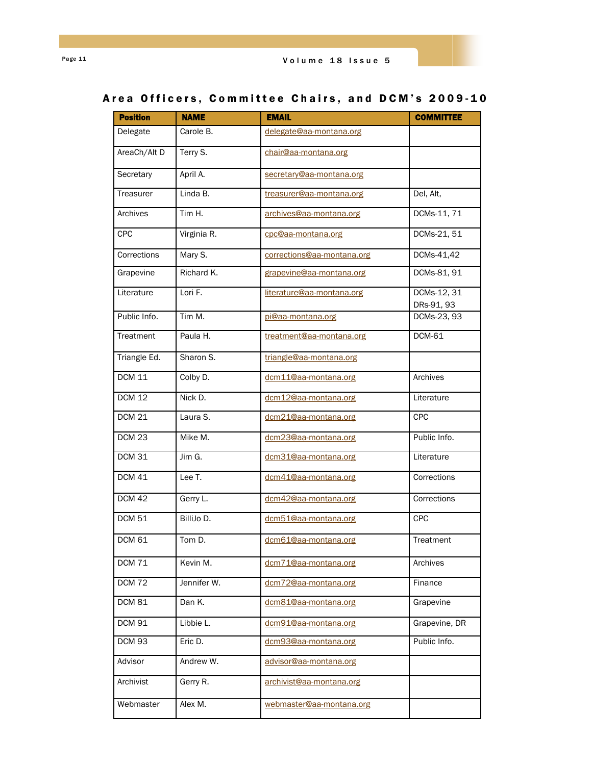# Area Officers, Committee Chairs, and DCM's 2009-10

| <b>Position</b>   | <b>NAME</b> | <b>EMAIL</b>               | <b>COMMITTEE</b>          |
|-------------------|-------------|----------------------------|---------------------------|
| Delegate          | Carole B.   | delegate@aa-montana.org    |                           |
| AreaCh/Alt D      | Terry S.    | chair@aa-montana.org       |                           |
| Secretary         | April A.    | secretary@aa-montana.org   |                           |
| Treasurer         | Linda B.    | treasurer@aa-montana.org   | Del, Alt,                 |
| Archives          | Tim H.      | archives@aa-montana.org    | DCMs-11, 71               |
| <b>CPC</b>        | Virginia R. | cpc@aa-montana.org         | DCMs-21, 51               |
| Corrections       | Mary S.     | corrections@aa-montana.org | DCMs-41,42                |
| Grapevine         | Richard K.  | grapevine@aa-montana.org   | DCMs-81, 91               |
| Literature        | Lori F.     | literature@aa-montana.org  | DCMs-12, 31<br>DRs-91, 93 |
| Public Info.      | Tim M.      | pi@aa-montana.org          | DCMs-23, 93               |
| Treatment         | Paula H.    | treatment@aa-montana.org   | <b>DCM-61</b>             |
| Triangle Ed.      | Sharon S.   | triangle@aa-montana.org    |                           |
| <b>DCM 11</b>     | Colby D.    | dcm11@aa-montana.org       | Archives                  |
| <b>DCM 12</b>     | Nick D.     | dcm12@aa-montana.org       | Literature                |
| <b>DCM 21</b>     | Laura S.    | dcm21@aa-montana.org       | <b>CPC</b>                |
| DCM <sub>23</sub> | Mike M.     | dcm23@aa-montana.org       | Public Info.              |
| <b>DCM 31</b>     | Jim G.      | dcm31@aa-montana.org       | Literature                |
| $DCM$ 41          | Lee T.      | dcm41@aa-montana.org       | Corrections               |
| <b>DCM 42</b>     | Gerry L.    | dcm42@aa-montana.org       | Corrections               |
| <b>DCM 51</b>     | BilliJo D.  | dcm51@aa-montana.org       | <b>CPC</b>                |
| <b>DCM 61</b>     | Tom D.      | dcm61@aa-montana.org       | Treatment                 |
| <b>DCM 71</b>     | Kevin M.    | dcm71@aa-montana.org       | Archives                  |
| <b>DCM 72</b>     | Jennifer W. | dcm72@aa-montana.org       | Finance                   |
| <b>DCM 81</b>     | Dan K.      | dcm81@aa-montana.org       | Grapevine                 |
| <b>DCM 91</b>     | Libbie L.   | dcm91@aa-montana.org       | Grapevine, DR             |
| <b>DCM 93</b>     | Eric D.     | dcm93@aa-montana.org       | Public Info.              |
| Advisor           | Andrew W.   | advisor@aa-montana.org     |                           |
| Archivist         | Gerry R.    | archivist@aa-montana.org   |                           |
| Webmaster         | Alex M.     | webmaster@aa-montana.org   |                           |